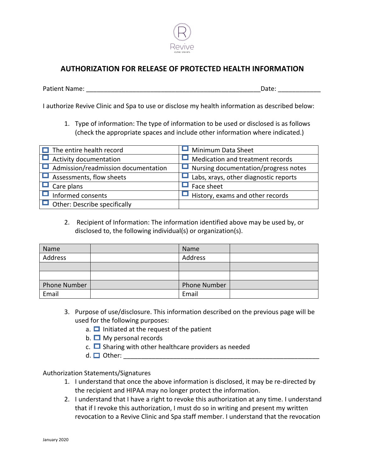

## **AUTHORIZATION FOR RELEASE OF PROTECTED HEALTH INFORMATION**

Patient Name: \_\_\_\_\_\_\_\_\_\_\_\_\_\_\_\_\_\_\_\_\_\_\_\_\_\_\_\_\_\_\_\_\_\_\_\_\_\_\_\_\_\_\_\_\_\_\_\_\_Date: \_\_\_\_\_\_\_\_\_\_\_\_

I authorize Revive Clinic and Spa to use or disclose my health information as described below:

1. Type of information: The type of information to be used or disclosed is as follows (check the appropriate spaces and include other information where indicated.)

| $\Box$ The entire health record            | Minimum Data Sheet                      |
|--------------------------------------------|-----------------------------------------|
| Activity documentation                     | Medication and treatment records        |
| $\Box$ Admission/readmission documentation | Nursing documentation/progress notes    |
| Assessments, flow sheets                   | Labs, xrays, other diagnostic reports   |
| Care plans                                 | Face sheet                              |
| Informed consents                          | $\Box$ History, exams and other records |
| $\Box$ Other: Describe specifically        |                                         |

2. Recipient of Information: The information identified above may be used by, or disclosed to, the following individual(s) or organization(s).

| Name                | Name                |  |
|---------------------|---------------------|--|
| Address             | Address             |  |
|                     |                     |  |
|                     |                     |  |
| <b>Phone Number</b> | <b>Phone Number</b> |  |
| Email               | Email               |  |

- 3. Purpose of use/disclosure. This information described on the previous page will be used for the following purposes:
	- a.  $\Box$  Initiated at the request of the patient
	- b.  $\Box$  My personal records
	- c.  $\Box$  Sharing with other healthcare providers as needed
	- $d. \Box$  Other:  $\Box$

Authorization Statements/Signatures

- 1. I understand that once the above information is disclosed, it may be re-directed by the recipient and HIPAA may no longer protect the information.
- 2. I understand that I have a right to revoke this authorization at any time. I understand that if I revoke this authorization, I must do so in writing and present my written revocation to a Revive Clinic and Spa staff member. I understand that the revocation